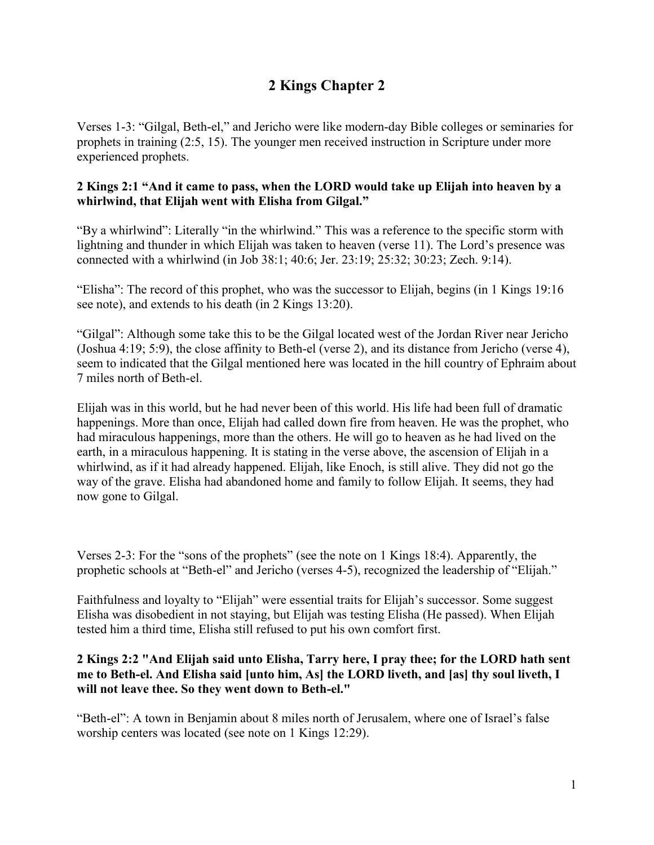# **2 Kings Chapter 2**

Verses 1-3: "Gilgal, Beth-el," and Jericho were like modern-day Bible colleges or seminaries for prophets in training (2:5, 15). The younger men received instruction in Scripture under more experienced prophets.

# **2 Kings 2:1 "And it came to pass, when the LORD would take up Elijah into heaven by a whirlwind, that Elijah went with Elisha from Gilgal."**

"By a whirlwind": Literally "in the whirlwind." This was a reference to the specific storm with lightning and thunder in which Elijah was taken to heaven (verse 11). The Lord's presence was connected with a whirlwind (in Job 38:1; 40:6; Jer. 23:19; 25:32; 30:23; Zech. 9:14).

"Elisha": The record of this prophet, who was the successor to Elijah, begins (in 1 Kings 19:16 see note), and extends to his death (in 2 Kings 13:20).

"Gilgal": Although some take this to be the Gilgal located west of the Jordan River near Jericho (Joshua 4:19; 5:9), the close affinity to Beth-el (verse 2), and its distance from Jericho (verse 4), seem to indicated that the Gilgal mentioned here was located in the hill country of Ephraim about 7 miles north of Beth-el.

Elijah was in this world, but he had never been of this world. His life had been full of dramatic happenings. More than once, Elijah had called down fire from heaven. He was the prophet, who had miraculous happenings, more than the others. He will go to heaven as he had lived on the earth, in a miraculous happening. It is stating in the verse above, the ascension of Elijah in a whirlwind, as if it had already happened. Elijah, like Enoch, is still alive. They did not go the way of the grave. Elisha had abandoned home and family to follow Elijah. It seems, they had now gone to Gilgal.

Verses 2-3: For the "sons of the prophets" (see the note on 1 Kings 18:4). Apparently, the prophetic schools at "Beth-el" and Jericho (verses 4-5), recognized the leadership of "Elijah."

Faithfulness and loyalty to "Elijah" were essential traits for Elijah's successor. Some suggest Elisha was disobedient in not staying, but Elijah was testing Elisha (He passed). When Elijah tested him a third time, Elisha still refused to put his own comfort first.

# **2 Kings 2:2 "And Elijah said unto Elisha, Tarry here, I pray thee; for the LORD hath sent me to Beth-el. And Elisha said [unto him, As] the LORD liveth, and [as] thy soul liveth, I will not leave thee. So they went down to Beth-el."**

"Beth-el": A town in Benjamin about 8 miles north of Jerusalem, where one of Israel's false worship centers was located (see note on 1 Kings 12:29).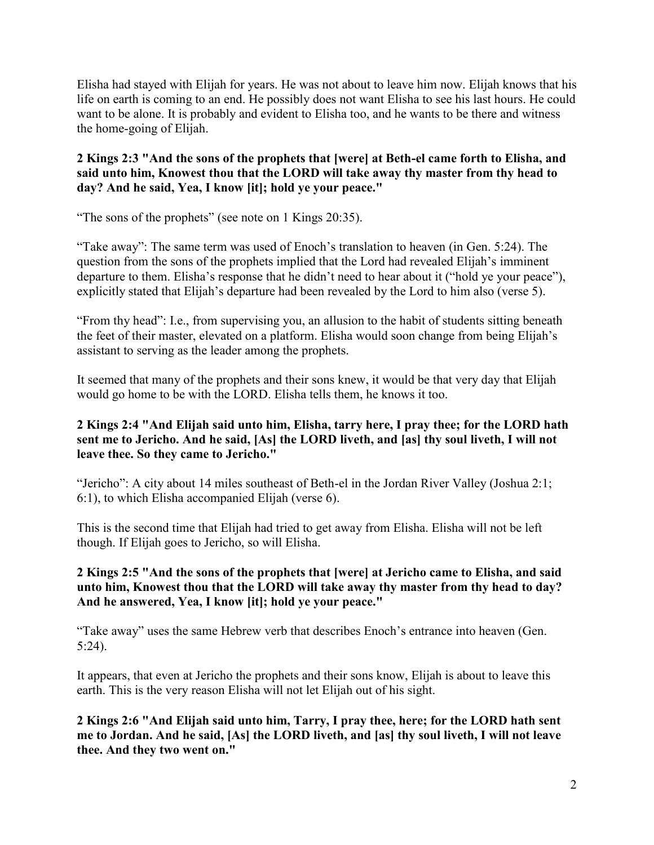Elisha had stayed with Elijah for years. He was not about to leave him now. Elijah knows that his life on earth is coming to an end. He possibly does not want Elisha to see his last hours. He could want to be alone. It is probably and evident to Elisha too, and he wants to be there and witness the home-going of Elijah.

## **2 Kings 2:3 "And the sons of the prophets that [were] at Beth-el came forth to Elisha, and said unto him, Knowest thou that the LORD will take away thy master from thy head to day? And he said, Yea, I know [it]; hold ye your peace."**

"The sons of the prophets" (see note on 1 Kings 20:35).

"Take away": The same term was used of Enoch's translation to heaven (in Gen. 5:24). The question from the sons of the prophets implied that the Lord had revealed Elijah's imminent departure to them. Elisha's response that he didn't need to hear about it ("hold ye your peace"), explicitly stated that Elijah's departure had been revealed by the Lord to him also (verse 5).

"From thy head": I.e., from supervising you, an allusion to the habit of students sitting beneath the feet of their master, elevated on a platform. Elisha would soon change from being Elijah's assistant to serving as the leader among the prophets.

It seemed that many of the prophets and their sons knew, it would be that very day that Elijah would go home to be with the LORD. Elisha tells them, he knows it too.

## **2 Kings 2:4 "And Elijah said unto him, Elisha, tarry here, I pray thee; for the LORD hath sent me to Jericho. And he said, [As] the LORD liveth, and [as] thy soul liveth, I will not leave thee. So they came to Jericho."**

"Jericho": A city about 14 miles southeast of Beth-el in the Jordan River Valley (Joshua 2:1; 6:1), to which Elisha accompanied Elijah (verse 6).

This is the second time that Elijah had tried to get away from Elisha. Elisha will not be left though. If Elijah goes to Jericho, so will Elisha.

## **2 Kings 2:5 "And the sons of the prophets that [were] at Jericho came to Elisha, and said unto him, Knowest thou that the LORD will take away thy master from thy head to day? And he answered, Yea, I know [it]; hold ye your peace."**

"Take away" uses the same Hebrew verb that describes Enoch's entrance into heaven (Gen. 5:24).

It appears, that even at Jericho the prophets and their sons know, Elijah is about to leave this earth. This is the very reason Elisha will not let Elijah out of his sight.

**2 Kings 2:6 "And Elijah said unto him, Tarry, I pray thee, here; for the LORD hath sent me to Jordan. And he said, [As] the LORD liveth, and [as] thy soul liveth, I will not leave thee. And they two went on."**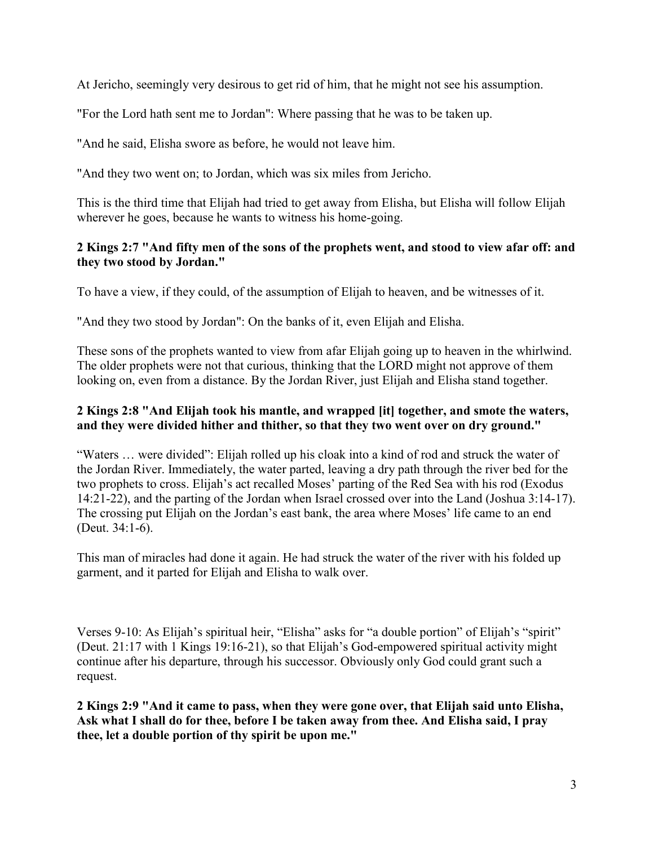At Jericho, seemingly very desirous to get rid of him, that he might not see his assumption.

"For the Lord hath sent me to Jordan": Where passing that he was to be taken up.

"And he said, Elisha swore as before, he would not leave him.

"And they two went on; to Jordan, which was six miles from Jericho.

This is the third time that Elijah had tried to get away from Elisha, but Elisha will follow Elijah wherever he goes, because he wants to witness his home-going.

## **2 Kings 2:7 "And fifty men of the sons of the prophets went, and stood to view afar off: and they two stood by Jordan."**

To have a view, if they could, of the assumption of Elijah to heaven, and be witnesses of it.

"And they two stood by Jordan": On the banks of it, even Elijah and Elisha.

These sons of the prophets wanted to view from afar Elijah going up to heaven in the whirlwind. The older prophets were not that curious, thinking that the LORD might not approve of them looking on, even from a distance. By the Jordan River, just Elijah and Elisha stand together.

# **2 Kings 2:8 "And Elijah took his mantle, and wrapped [it] together, and smote the waters, and they were divided hither and thither, so that they two went over on dry ground."**

"Waters … were divided": Elijah rolled up his cloak into a kind of rod and struck the water of the Jordan River. Immediately, the water parted, leaving a dry path through the river bed for the two prophets to cross. Elijah's act recalled Moses' parting of the Red Sea with his rod (Exodus 14:21-22), and the parting of the Jordan when Israel crossed over into the Land (Joshua 3:14-17). The crossing put Elijah on the Jordan's east bank, the area where Moses' life came to an end (Deut. 34:1-6).

This man of miracles had done it again. He had struck the water of the river with his folded up garment, and it parted for Elijah and Elisha to walk over.

Verses 9-10: As Elijah's spiritual heir, "Elisha" asks for "a double portion" of Elijah's "spirit" (Deut. 21:17 with 1 Kings 19:16-21), so that Elijah's God-empowered spiritual activity might continue after his departure, through his successor. Obviously only God could grant such a request.

**2 Kings 2:9 "And it came to pass, when they were gone over, that Elijah said unto Elisha, Ask what I shall do for thee, before I be taken away from thee. And Elisha said, I pray thee, let a double portion of thy spirit be upon me."**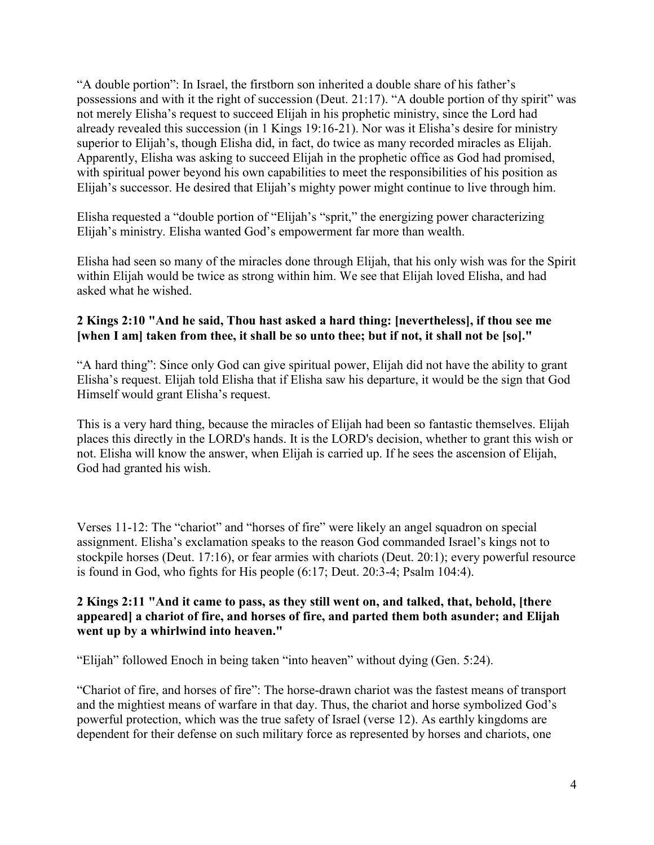"A double portion": In Israel, the firstborn son inherited a double share of his father's possessions and with it the right of succession (Deut. 21:17). "A double portion of thy spirit" was not merely Elisha's request to succeed Elijah in his prophetic ministry, since the Lord had already revealed this succession (in 1 Kings 19:16-21). Nor was it Elisha's desire for ministry superior to Elijah's, though Elisha did, in fact, do twice as many recorded miracles as Elijah. Apparently, Elisha was asking to succeed Elijah in the prophetic office as God had promised, with spiritual power beyond his own capabilities to meet the responsibilities of his position as Elijah's successor. He desired that Elijah's mighty power might continue to live through him.

Elisha requested a "double portion of "Elijah's "sprit," the energizing power characterizing Elijah's ministry. Elisha wanted God's empowerment far more than wealth.

Elisha had seen so many of the miracles done through Elijah, that his only wish was for the Spirit within Elijah would be twice as strong within him. We see that Elijah loved Elisha, and had asked what he wished.

## **2 Kings 2:10 "And he said, Thou hast asked a hard thing: [nevertheless], if thou see me [when I am] taken from thee, it shall be so unto thee; but if not, it shall not be [so]."**

"A hard thing": Since only God can give spiritual power, Elijah did not have the ability to grant Elisha's request. Elijah told Elisha that if Elisha saw his departure, it would be the sign that God Himself would grant Elisha's request.

This is a very hard thing, because the miracles of Elijah had been so fantastic themselves. Elijah places this directly in the LORD's hands. It is the LORD's decision, whether to grant this wish or not. Elisha will know the answer, when Elijah is carried up. If he sees the ascension of Elijah, God had granted his wish.

Verses 11-12: The "chariot" and "horses of fire" were likely an angel squadron on special assignment. Elisha's exclamation speaks to the reason God commanded Israel's kings not to stockpile horses (Deut. 17:16), or fear armies with chariots (Deut. 20:1); every powerful resource is found in God, who fights for His people (6:17; Deut. 20:3-4; Psalm 104:4).

#### **2 Kings 2:11 "And it came to pass, as they still went on, and talked, that, behold, [there appeared] a chariot of fire, and horses of fire, and parted them both asunder; and Elijah went up by a whirlwind into heaven."**

"Elijah" followed Enoch in being taken "into heaven" without dying (Gen. 5:24).

"Chariot of fire, and horses of fire": The horse-drawn chariot was the fastest means of transport and the mightiest means of warfare in that day. Thus, the chariot and horse symbolized God's powerful protection, which was the true safety of Israel (verse 12). As earthly kingdoms are dependent for their defense on such military force as represented by horses and chariots, one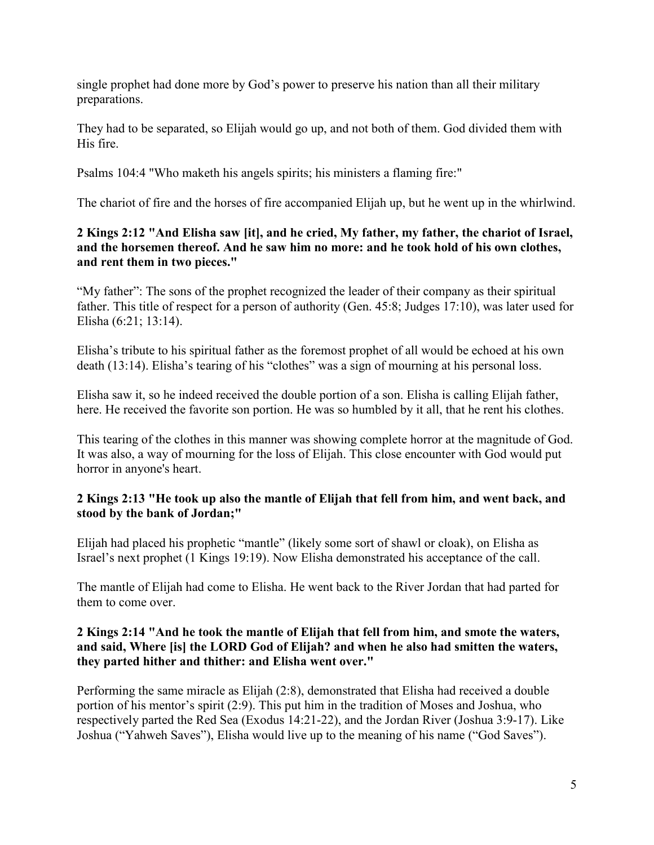single prophet had done more by God's power to preserve his nation than all their military preparations.

They had to be separated, so Elijah would go up, and not both of them. God divided them with His fire.

Psalms 104:4 "Who maketh his angels spirits; his ministers a flaming fire:"

The chariot of fire and the horses of fire accompanied Elijah up, but he went up in the whirlwind.

# **2 Kings 2:12 "And Elisha saw [it], and he cried, My father, my father, the chariot of Israel, and the horsemen thereof. And he saw him no more: and he took hold of his own clothes, and rent them in two pieces."**

"My father": The sons of the prophet recognized the leader of their company as their spiritual father. This title of respect for a person of authority (Gen. 45:8; Judges 17:10), was later used for Elisha (6:21; 13:14).

Elisha's tribute to his spiritual father as the foremost prophet of all would be echoed at his own death (13:14). Elisha's tearing of his "clothes" was a sign of mourning at his personal loss.

Elisha saw it, so he indeed received the double portion of a son. Elisha is calling Elijah father, here. He received the favorite son portion. He was so humbled by it all, that he rent his clothes.

This tearing of the clothes in this manner was showing complete horror at the magnitude of God. It was also, a way of mourning for the loss of Elijah. This close encounter with God would put horror in anyone's heart.

# **2 Kings 2:13 "He took up also the mantle of Elijah that fell from him, and went back, and stood by the bank of Jordan;"**

Elijah had placed his prophetic "mantle" (likely some sort of shawl or cloak), on Elisha as Israel's next prophet (1 Kings 19:19). Now Elisha demonstrated his acceptance of the call.

The mantle of Elijah had come to Elisha. He went back to the River Jordan that had parted for them to come over.

# **2 Kings 2:14 "And he took the mantle of Elijah that fell from him, and smote the waters, and said, Where [is] the LORD God of Elijah? and when he also had smitten the waters, they parted hither and thither: and Elisha went over."**

Performing the same miracle as Elijah (2:8), demonstrated that Elisha had received a double portion of his mentor's spirit (2:9). This put him in the tradition of Moses and Joshua, who respectively parted the Red Sea (Exodus 14:21-22), and the Jordan River (Joshua 3:9-17). Like Joshua ("Yahweh Saves"), Elisha would live up to the meaning of his name ("God Saves").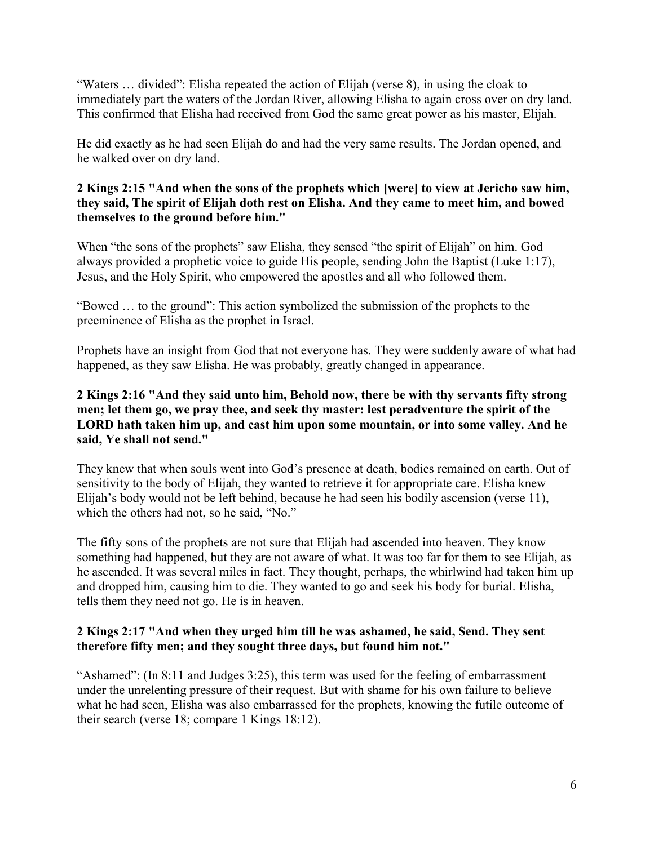"Waters … divided": Elisha repeated the action of Elijah (verse 8), in using the cloak to immediately part the waters of the Jordan River, allowing Elisha to again cross over on dry land. This confirmed that Elisha had received from God the same great power as his master, Elijah.

He did exactly as he had seen Elijah do and had the very same results. The Jordan opened, and he walked over on dry land.

## **2 Kings 2:15 "And when the sons of the prophets which [were] to view at Jericho saw him, they said, The spirit of Elijah doth rest on Elisha. And they came to meet him, and bowed themselves to the ground before him."**

When "the sons of the prophets" saw Elisha, they sensed "the spirit of Elijah" on him. God always provided a prophetic voice to guide His people, sending John the Baptist (Luke 1:17), Jesus, and the Holy Spirit, who empowered the apostles and all who followed them.

"Bowed … to the ground": This action symbolized the submission of the prophets to the preeminence of Elisha as the prophet in Israel.

Prophets have an insight from God that not everyone has. They were suddenly aware of what had happened, as they saw Elisha. He was probably, greatly changed in appearance.

## **2 Kings 2:16 "And they said unto him, Behold now, there be with thy servants fifty strong men; let them go, we pray thee, and seek thy master: lest peradventure the spirit of the LORD hath taken him up, and cast him upon some mountain, or into some valley. And he said, Ye shall not send."**

They knew that when souls went into God's presence at death, bodies remained on earth. Out of sensitivity to the body of Elijah, they wanted to retrieve it for appropriate care. Elisha knew Elijah's body would not be left behind, because he had seen his bodily ascension (verse 11), which the others had not, so he said, "No."

The fifty sons of the prophets are not sure that Elijah had ascended into heaven. They know something had happened, but they are not aware of what. It was too far for them to see Elijah, as he ascended. It was several miles in fact. They thought, perhaps, the whirlwind had taken him up and dropped him, causing him to die. They wanted to go and seek his body for burial. Elisha, tells them they need not go. He is in heaven.

## **2 Kings 2:17 "And when they urged him till he was ashamed, he said, Send. They sent therefore fifty men; and they sought three days, but found him not."**

"Ashamed": (In 8:11 and Judges 3:25), this term was used for the feeling of embarrassment under the unrelenting pressure of their request. But with shame for his own failure to believe what he had seen, Elisha was also embarrassed for the prophets, knowing the futile outcome of their search (verse 18; compare 1 Kings 18:12).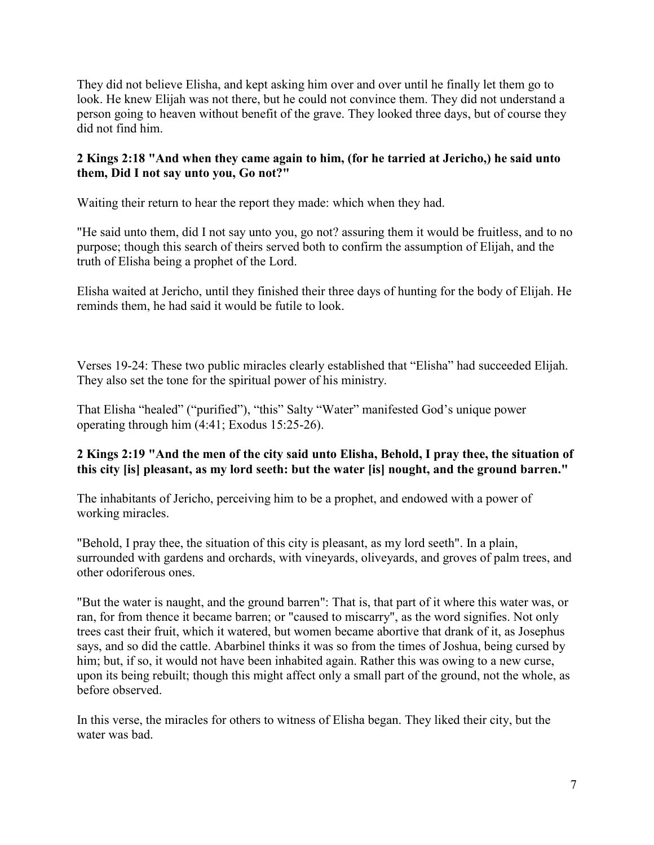They did not believe Elisha, and kept asking him over and over until he finally let them go to look. He knew Elijah was not there, but he could not convince them. They did not understand a person going to heaven without benefit of the grave. They looked three days, but of course they did not find him.

## **2 Kings 2:18 "And when they came again to him, (for he tarried at Jericho,) he said unto them, Did I not say unto you, Go not?"**

Waiting their return to hear the report they made: which when they had.

"He said unto them, did I not say unto you, go not? assuring them it would be fruitless, and to no purpose; though this search of theirs served both to confirm the assumption of Elijah, and the truth of Elisha being a prophet of the Lord.

Elisha waited at Jericho, until they finished their three days of hunting for the body of Elijah. He reminds them, he had said it would be futile to look.

Verses 19-24: These two public miracles clearly established that "Elisha" had succeeded Elijah. They also set the tone for the spiritual power of his ministry.

That Elisha "healed" ("purified"), "this" Salty "Water" manifested God's unique power operating through him (4:41; Exodus 15:25-26).

# **2 Kings 2:19 "And the men of the city said unto Elisha, Behold, I pray thee, the situation of this city [is] pleasant, as my lord seeth: but the water [is] nought, and the ground barren."**

The inhabitants of Jericho, perceiving him to be a prophet, and endowed with a power of working miracles.

"Behold, I pray thee, the situation of this city is pleasant, as my lord seeth". In a plain, surrounded with gardens and orchards, with vineyards, oliveyards, and groves of palm trees, and other odoriferous ones.

"But the water is naught, and the ground barren": That is, that part of it where this water was, or ran, for from thence it became barren; or "caused to miscarry", as the word signifies. Not only trees cast their fruit, which it watered, but women became abortive that drank of it, as Josephus says, and so did the cattle. Abarbinel thinks it was so from the times of Joshua, being cursed by him; but, if so, it would not have been inhabited again. Rather this was owing to a new curse, upon its being rebuilt; though this might affect only a small part of the ground, not the whole, as before observed.

In this verse, the miracles for others to witness of Elisha began. They liked their city, but the water was bad.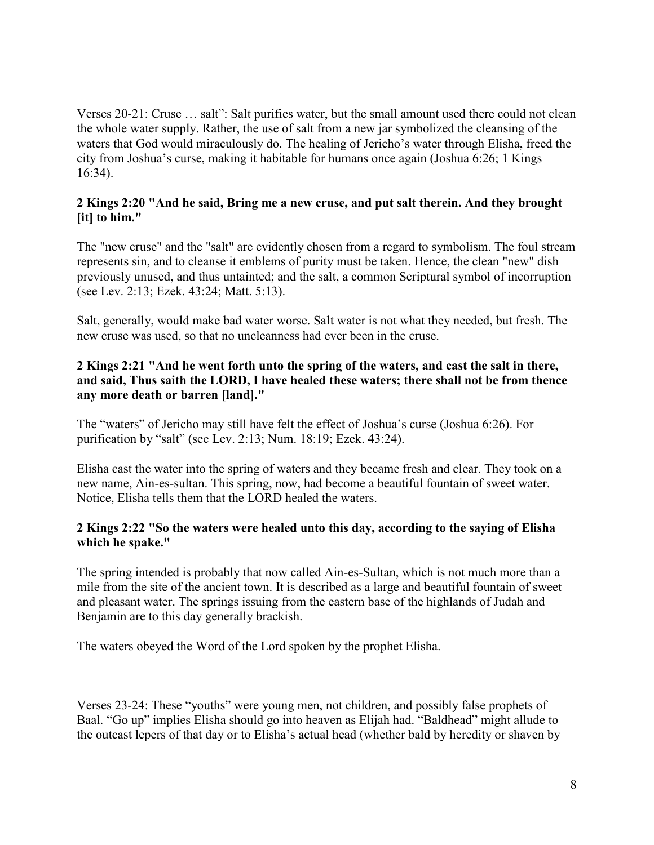Verses 20-21: Cruse … salt": Salt purifies water, but the small amount used there could not clean the whole water supply. Rather, the use of salt from a new jar symbolized the cleansing of the waters that God would miraculously do. The healing of Jericho's water through Elisha, freed the city from Joshua's curse, making it habitable for humans once again (Joshua 6:26; 1 Kings 16:34).

#### **2 Kings 2:20 "And he said, Bring me a new cruse, and put salt therein. And they brought [it] to him."**

The "new cruse" and the "salt" are evidently chosen from a regard to symbolism. The foul stream represents sin, and to cleanse it emblems of purity must be taken. Hence, the clean "new" dish previously unused, and thus untainted; and the salt, a common Scriptural symbol of incorruption (see Lev. 2:13; Ezek. 43:24; Matt. 5:13).

Salt, generally, would make bad water worse. Salt water is not what they needed, but fresh. The new cruse was used, so that no uncleanness had ever been in the cruse.

## **2 Kings 2:21 "And he went forth unto the spring of the waters, and cast the salt in there, and said, Thus saith the LORD, I have healed these waters; there shall not be from thence any more death or barren [land]."**

The "waters" of Jericho may still have felt the effect of Joshua's curse (Joshua 6:26). For purification by "salt" (see Lev. 2:13; Num. 18:19; Ezek. 43:24).

Elisha cast the water into the spring of waters and they became fresh and clear. They took on a new name, Ain-es-sultan. This spring, now, had become a beautiful fountain of sweet water. Notice, Elisha tells them that the LORD healed the waters.

## **2 Kings 2:22 "So the waters were healed unto this day, according to the saying of Elisha which he spake."**

The spring intended is probably that now called Ain-es-Sultan, which is not much more than a mile from the site of the ancient town. It is described as a large and beautiful fountain of sweet and pleasant water. The springs issuing from the eastern base of the highlands of Judah and Benjamin are to this day generally brackish.

The waters obeyed the Word of the Lord spoken by the prophet Elisha.

Verses 23-24: These "youths" were young men, not children, and possibly false prophets of Baal. "Go up" implies Elisha should go into heaven as Elijah had. "Baldhead" might allude to the outcast lepers of that day or to Elisha's actual head (whether bald by heredity or shaven by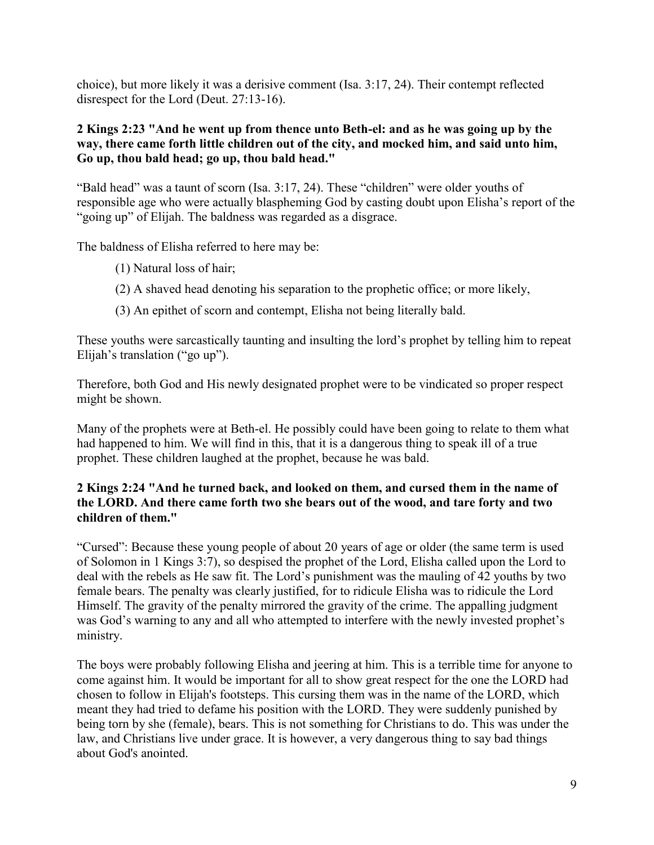choice), but more likely it was a derisive comment (Isa. 3:17, 24). Their contempt reflected disrespect for the Lord (Deut. 27:13-16).

#### **2 Kings 2:23 "And he went up from thence unto Beth-el: and as he was going up by the way, there came forth little children out of the city, and mocked him, and said unto him, Go up, thou bald head; go up, thou bald head."**

"Bald head" was a taunt of scorn (Isa. 3:17, 24). These "children" were older youths of responsible age who were actually blaspheming God by casting doubt upon Elisha's report of the "going up" of Elijah. The baldness was regarded as a disgrace.

The baldness of Elisha referred to here may be:

- (1) Natural loss of hair;
- (2) A shaved head denoting his separation to the prophetic office; or more likely,
- (3) An epithet of scorn and contempt, Elisha not being literally bald.

These youths were sarcastically taunting and insulting the lord's prophet by telling him to repeat Elijah's translation ("go up").

Therefore, both God and His newly designated prophet were to be vindicated so proper respect might be shown.

Many of the prophets were at Beth-el. He possibly could have been going to relate to them what had happened to him. We will find in this, that it is a dangerous thing to speak ill of a true prophet. These children laughed at the prophet, because he was bald.

## **2 Kings 2:24 "And he turned back, and looked on them, and cursed them in the name of the LORD. And there came forth two she bears out of the wood, and tare forty and two children of them."**

"Cursed": Because these young people of about 20 years of age or older (the same term is used of Solomon in 1 Kings 3:7), so despised the prophet of the Lord, Elisha called upon the Lord to deal with the rebels as He saw fit. The Lord's punishment was the mauling of 42 youths by two female bears. The penalty was clearly justified, for to ridicule Elisha was to ridicule the Lord Himself. The gravity of the penalty mirrored the gravity of the crime. The appalling judgment was God's warning to any and all who attempted to interfere with the newly invested prophet's ministry.

The boys were probably following Elisha and jeering at him. This is a terrible time for anyone to come against him. It would be important for all to show great respect for the one the LORD had chosen to follow in Elijah's footsteps. This cursing them was in the name of the LORD, which meant they had tried to defame his position with the LORD. They were suddenly punished by being torn by she (female), bears. This is not something for Christians to do. This was under the law, and Christians live under grace. It is however, a very dangerous thing to say bad things about God's anointed.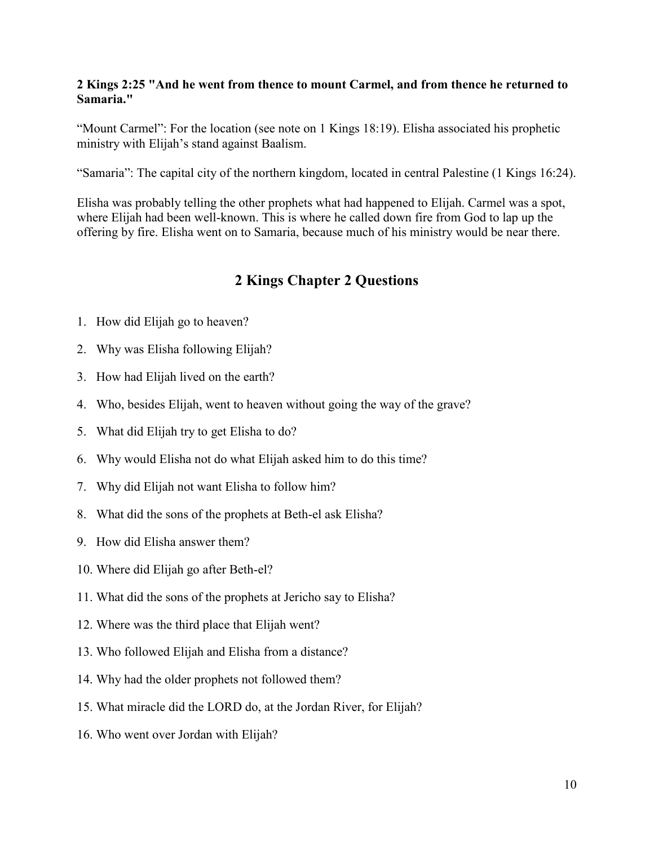#### **2 Kings 2:25 "And he went from thence to mount Carmel, and from thence he returned to Samaria."**

"Mount Carmel": For the location (see note on 1 Kings 18:19). Elisha associated his prophetic ministry with Elijah's stand against Baalism.

"Samaria": The capital city of the northern kingdom, located in central Palestine (1 Kings 16:24).

Elisha was probably telling the other prophets what had happened to Elijah. Carmel was a spot, where Elijah had been well-known. This is where he called down fire from God to lap up the offering by fire. Elisha went on to Samaria, because much of his ministry would be near there.

# **2 Kings Chapter 2 Questions**

- 1. How did Elijah go to heaven?
- 2. Why was Elisha following Elijah?
- 3. How had Elijah lived on the earth?
- 4. Who, besides Elijah, went to heaven without going the way of the grave?
- 5. What did Elijah try to get Elisha to do?
- 6. Why would Elisha not do what Elijah asked him to do this time?
- 7. Why did Elijah not want Elisha to follow him?
- 8. What did the sons of the prophets at Beth-el ask Elisha?
- 9. How did Elisha answer them?
- 10. Where did Elijah go after Beth-el?
- 11. What did the sons of the prophets at Jericho say to Elisha?
- 12. Where was the third place that Elijah went?
- 13. Who followed Elijah and Elisha from a distance?
- 14. Why had the older prophets not followed them?
- 15. What miracle did the LORD do, at the Jordan River, for Elijah?
- 16. Who went over Jordan with Elijah?